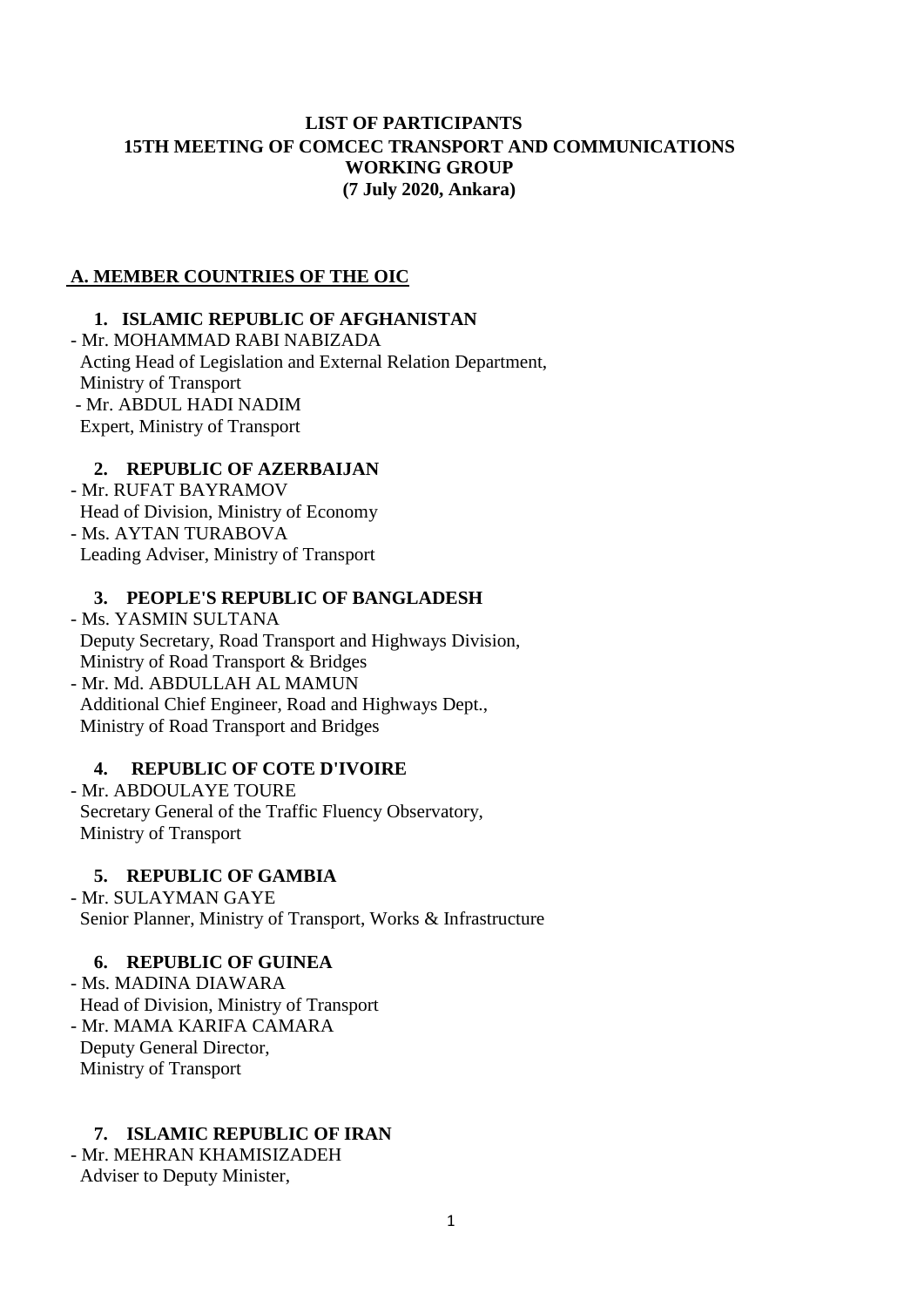## **LIST OF PARTICIPANTS 15TH MEETING OF COMCEC TRANSPORT AND COMMUNICATIONS WORKING GROUP (7 July 2020, Ankara)**

#### **A. MEMBER COUNTRIES OF THE OIC**

### **1. ISLAMIC REPUBLIC OF AFGHANISTAN**

- Mr. MOHAMMAD RABI NABIZADA Acting Head of Legislation and External Relation Department, Ministry of Transport - Mr. ABDUL HADI NADIM Expert, Ministry of Transport

### **2. REPUBLIC OF AZERBAIJAN**

- Mr. RUFAT BAYRAMOV Head of Division, Ministry of Economy - Ms. AYTAN TURABOVA Leading Adviser, Ministry of Transport

## **3. PEOPLE'S REPUBLIC OF BANGLADESH**

- Ms. YASMIN SULTANA Deputy Secretary, Road Transport and Highways Division, Ministry of Road Transport & Bridges - Mr. Md. ABDULLAH AL MAMUN Additional Chief Engineer, Road and Highways Dept., Ministry of Road Transport and Bridges

#### **4. REPUBLIC OF COTE D'IVOIRE**

- Mr. ABDOULAYE TOURE Secretary General of the Traffic Fluency Observatory, Ministry of Transport

#### **5. REPUBLIC OF GAMBIA**

- Mr. SULAYMAN GAYE Senior Planner, Ministry of Transport, Works & Infrastructure

#### **6. REPUBLIC OF GUINEA**

- Ms. MADINA DIAWARA Head of Division, Ministry of Transport - Mr. MAMA KARIFA CAMARA Deputy General Director, Ministry of Transport

#### **7. ISLAMIC REPUBLIC OF IRAN**

- Mr. MEHRAN KHAMISIZADEH Adviser to Deputy Minister,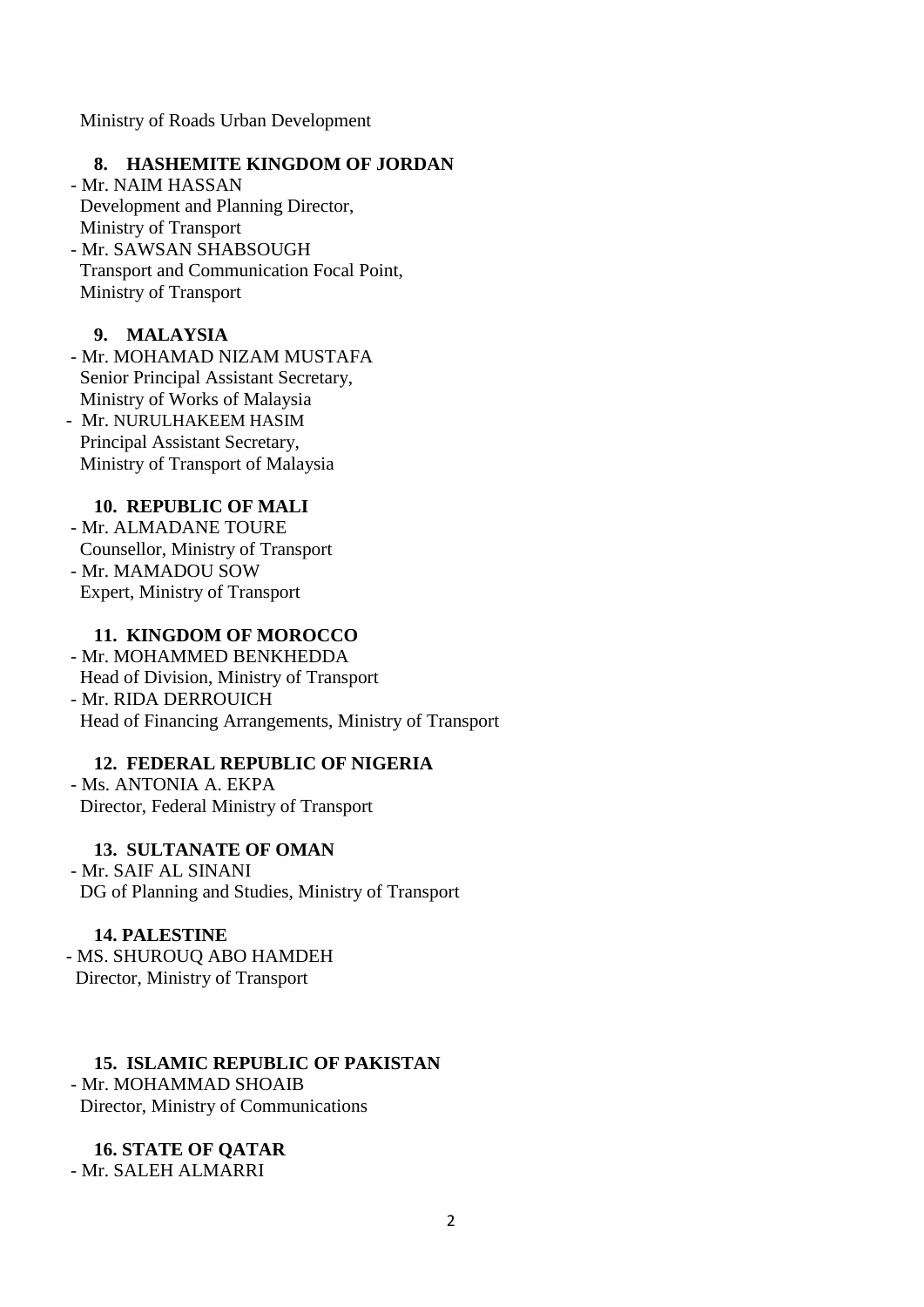Ministry of Roads Urban Development

## **8. HASHEMITE KINGDOM OF JORDAN**

- Mr. NAIM HASSAN Development and Planning Director, Ministry of Transport - Mr. SAWSAN SHABSOUGH Transport and Communication Focal Point, Ministry of Transport

# **9. MALAYSIA**

- Mr. MOHAMAD NIZAM MUSTAFA Senior Principal Assistant Secretary, Ministry of Works of Malaysia

- Mr. NURULHAKEEM HASIM Principal Assistant Secretary, Ministry of Transport of Malaysia

#### **10. REPUBLIC OF MALI**

- Mr. ALMADANE TOURE Counsellor, Ministry of Transport - Mr. MAMADOU SOW Expert, Ministry of Transport

#### **11. KINGDOM OF MOROCCO**

- Mr. MOHAMMED BENKHEDDA Head of Division, Ministry of Transport - Mr. RIDA DERROUICH Head of Financing Arrangements, Ministry of Transport

## **12. FEDERAL REPUBLIC OF NIGERIA**

- Ms. ANTONIA A. EKPA Director, Federal Ministry of Transport

## **13. SULTANATE OF OMAN**

- Mr. SAIF AL SINANI DG of Planning and Studies, Ministry of Transport

#### **14. PALESTINE**

- MS. SHUROUQ ABO HAMDEH Director, Ministry of Transport

# **15. ISLAMIC REPUBLIC OF PAKISTAN**

- Mr. MOHAMMAD SHOAIB Director, Ministry of Communications

**16. STATE OF QATAR**  - Mr. SALEH ALMARRI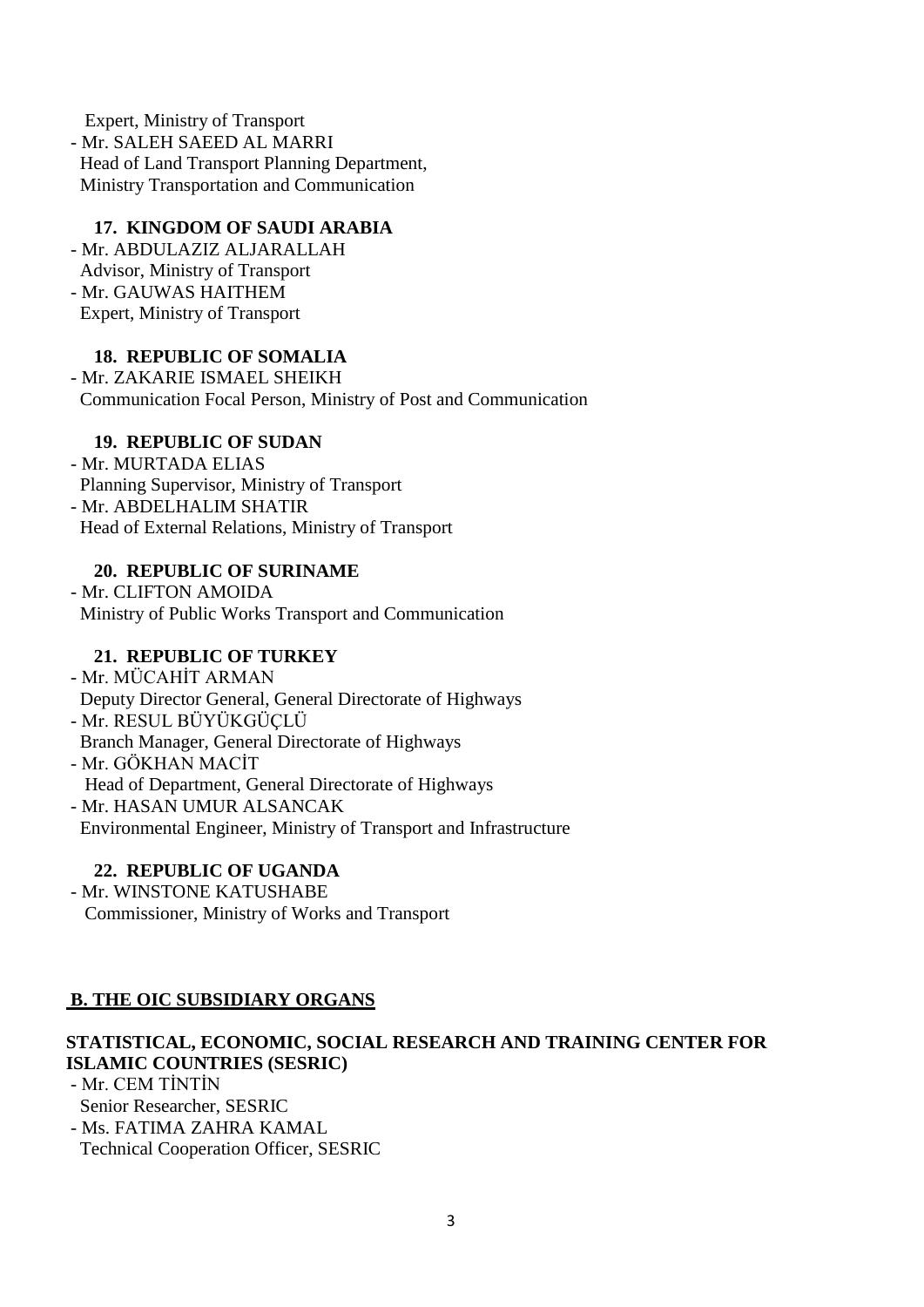Expert, Ministry of Transport - Mr. SALEH SAEED AL MARRI Head of Land Transport Planning Department, Ministry Transportation and Communication

## **17. KINGDOM OF SAUDI ARABIA**

- Mr. ABDULAZIZ ALJARALLAH Advisor, Ministry of Transport - Mr. GAUWAS HAITHEM Expert, Ministry of Transport

# **18. REPUBLIC OF SOMALIA**

- Mr. ZAKARIE ISMAEL SHEIKH Communication Focal Person, Ministry of Post and Communication

## **19. REPUBLIC OF SUDAN**

- Mr. MURTADA ELIAS Planning Supervisor, Ministry of Transport - Mr. ABDELHALIM SHATIR Head of External Relations, Ministry of Transport

## **20. REPUBLIC OF SURINAME**

- Mr. CLIFTON AMOIDA Ministry of Public Works Transport and Communication

## **21. REPUBLIC OF TURKEY**

- Mr. MÜCAHİT ARMAN Deputy Director General, General Directorate of Highways - Mr. RESUL BÜYÜKGÜÇLÜ Branch Manager, General Directorate of Highways - Mr. GÖKHAN MACİT Head of Department, General Directorate of Highways

- Mr. HASAN UMUR ALSANCAK Environmental Engineer, Ministry of Transport and Infrastructure

## **22. REPUBLIC OF UGANDA**

- Mr. WINSTONE KATUSHABE Commissioner, Ministry of Works and Transport

# **B. THE OIC SUBSIDIARY ORGANS**

# **STATISTICAL, ECONOMIC, SOCIAL RESEARCH AND TRAINING CENTER FOR ISLAMIC COUNTRIES (SESRIC)**

- Mr. CEM TİNTİN Senior Researcher, SESRIC

- Ms. FATIMA ZAHRA KAMAL

Technical Cooperation Officer, SESRIC